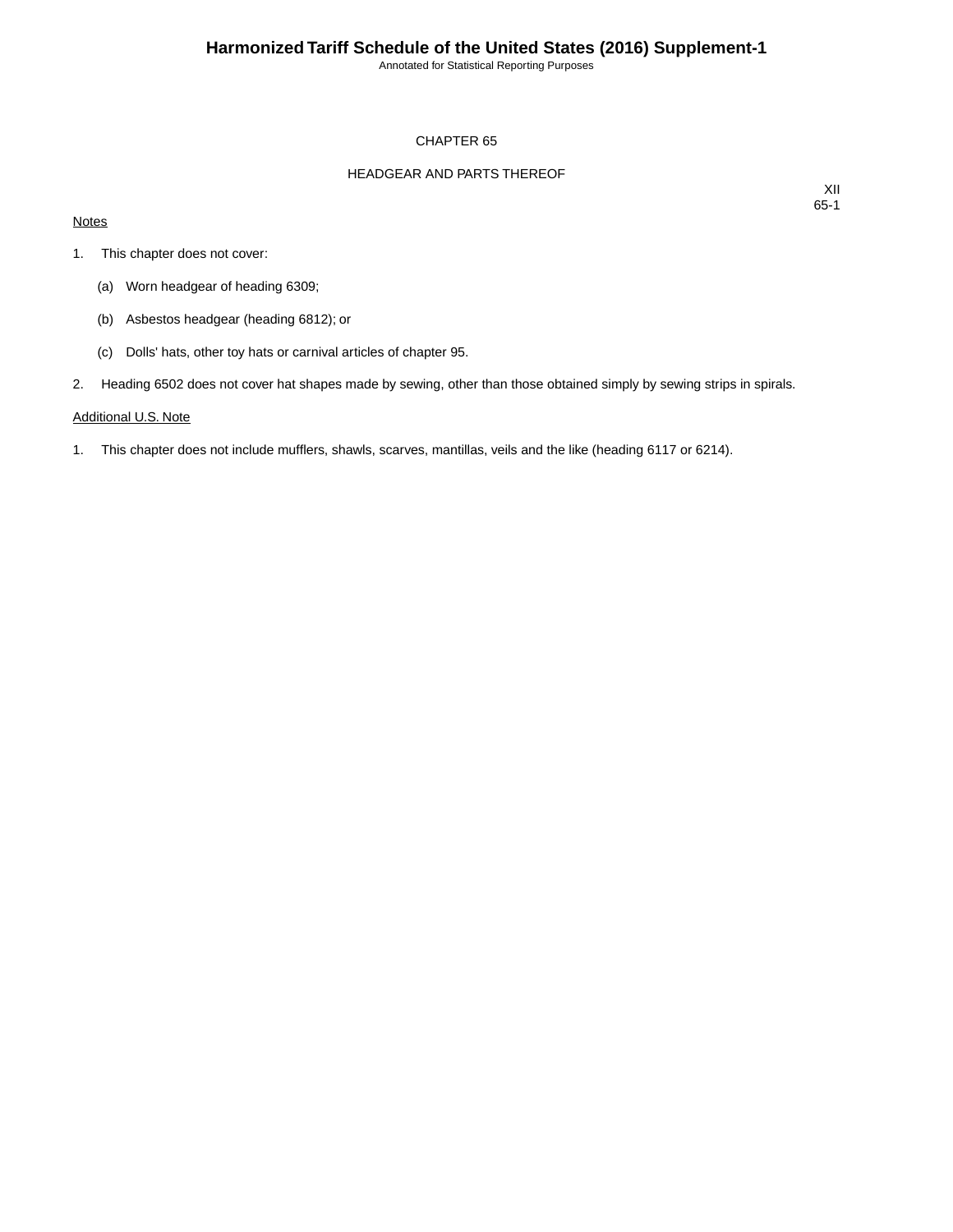Annotated for Statistical Reporting Purposes

#### CHAPTER 65

#### HEADGEAR AND PARTS THEREOF

#### **Notes**

XII 65-1

- 1. This chapter does not cover:
	- (a) Worn headgear of heading 6309;
	- (b) Asbestos headgear (heading 6812); or
	- (c) Dolls' hats, other toy hats or carnival articles of chapter 95.
- 2. Heading 6502 does not cover hat shapes made by sewing, other than those obtained simply by sewing strips in spirals.

#### Additional U.S. Note

1. This chapter does not include mufflers, shawls, scarves, mantillas, veils and the like (heading 6117 or 6214).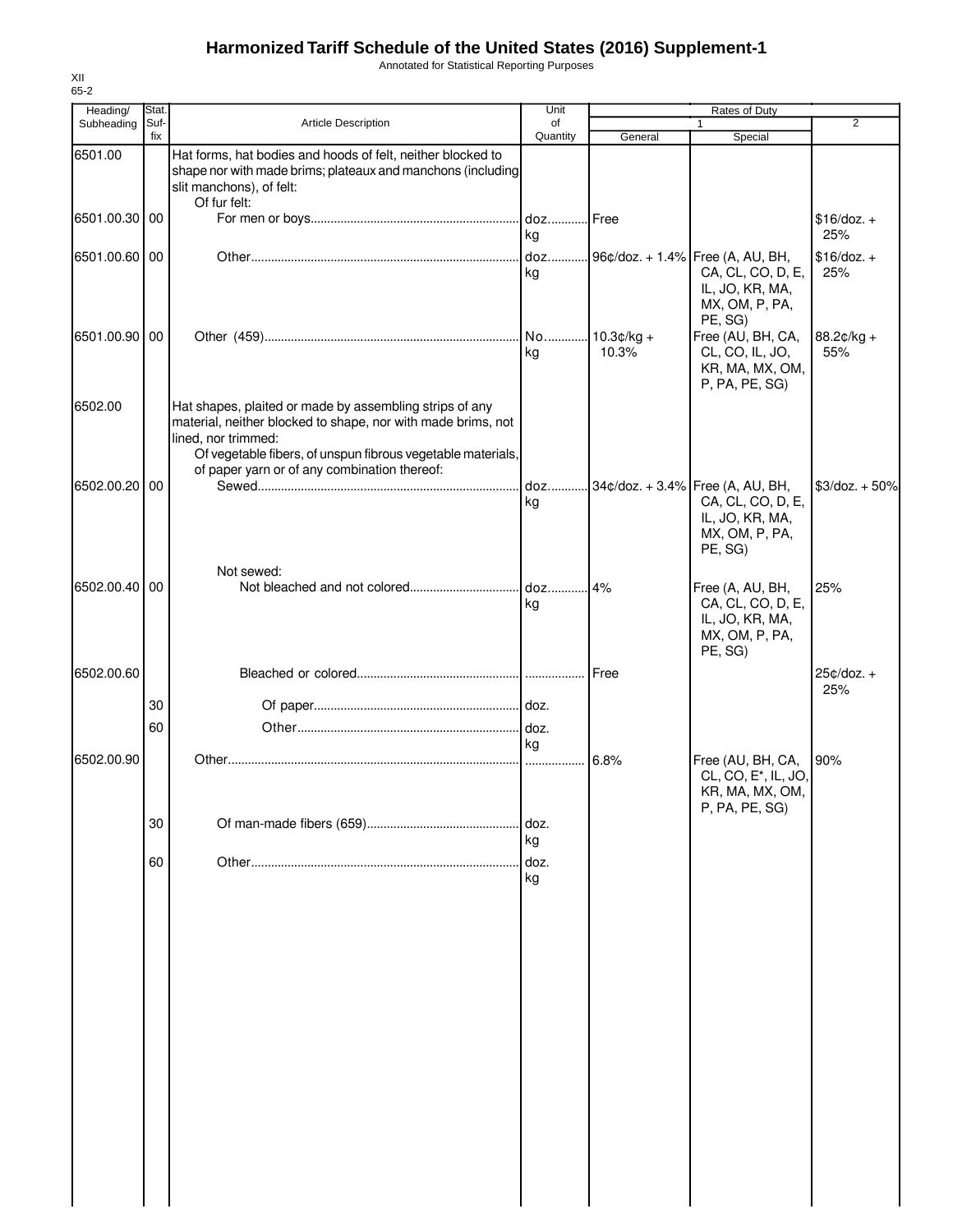Annotated for Statistical Reporting Purposes

| Heading/      | Stat.       |                                                                                                                                                                                                                                                               | Unit           |             | Rates of Duty                                                                                             |                     |
|---------------|-------------|---------------------------------------------------------------------------------------------------------------------------------------------------------------------------------------------------------------------------------------------------------------|----------------|-------------|-----------------------------------------------------------------------------------------------------------|---------------------|
| Subheading    | Suf-<br>fix | <b>Article Description</b>                                                                                                                                                                                                                                    | of<br>Quantity | General     | $\mathbf{1}$<br>Special                                                                                   | 2                   |
| 6501.00       |             | Hat forms, hat bodies and hoods of felt, neither blocked to<br>shape nor with made brims; plateaux and manchons (including<br>slit manchons), of felt:<br>Of fur felt:                                                                                        |                |             |                                                                                                           |                     |
| 6501.00.30 00 |             |                                                                                                                                                                                                                                                               | kg             |             |                                                                                                           | $$16/doz.+$<br>25%  |
| 6501.00.60 00 |             |                                                                                                                                                                                                                                                               | doz<br>kg      |             | 96¢/doz. + 1.4% Free (A, AU, BH,<br>CA, CL, CO, D, E,<br>IL, JO, KR, MA,<br>MX, OM, P, PA,<br>PE, SG)     | $$16/doz.+$<br>25%  |
| 6501.00.90 00 |             |                                                                                                                                                                                                                                                               | kg             | 10.3%       | Free (AU, BH, CA,<br>CL, CO, IL, JO,<br>KR, MA, MX, OM,<br>P, PA, PE, SG)                                 | 88.2¢/kg +<br>55%   |
| 6502.00       |             | Hat shapes, plaited or made by assembling strips of any<br>material, neither blocked to shape, nor with made brims, not<br>lined, nor trimmed:<br>Of vegetable fibers, of unspun fibrous vegetable materials,<br>of paper yarn or of any combination thereof: |                |             |                                                                                                           |                     |
| 6502.00.20 00 |             |                                                                                                                                                                                                                                                               | kg             |             | doz 34¢/doz. + 3.4% Free (A, AU, BH,<br>CA, CL, CO, D, E,<br>IL, JO, KR, MA,<br>MX, OM, P, PA,<br>PE, SG) | $$3$ /doz. + 50%    |
| 6502.00.40 00 |             | Not sewed:                                                                                                                                                                                                                                                    | kg             |             | Free (A, AU, BH,<br>CA, CL, CO, D, E,<br>IL, JO, KR, MA,<br>MX, OM, P, PA,<br>PE, SG)                     | 25%                 |
| 6502.00.60    |             |                                                                                                                                                                                                                                                               |                | <b>Free</b> |                                                                                                           | $25¢/doz. +$<br>25% |
|               | 30          |                                                                                                                                                                                                                                                               |                |             |                                                                                                           |                     |
|               | 60          |                                                                                                                                                                                                                                                               | kg             |             |                                                                                                           |                     |
| 6502.00.90    |             |                                                                                                                                                                                                                                                               | .              | 6.8%        | Free (AU, BH, CA,<br>CL, CO, E <sup>*</sup> , IL, JO,<br>KR, MA, MX, OM,<br>P, PA, PE, SG)                | 90%                 |
|               | 30          |                                                                                                                                                                                                                                                               | doz.<br>kg     |             |                                                                                                           |                     |
|               | 60          |                                                                                                                                                                                                                                                               | doz.<br>kg     |             |                                                                                                           |                     |
|               |             |                                                                                                                                                                                                                                                               |                |             |                                                                                                           |                     |
|               |             |                                                                                                                                                                                                                                                               |                |             |                                                                                                           |                     |
|               |             |                                                                                                                                                                                                                                                               |                |             |                                                                                                           |                     |
|               |             |                                                                                                                                                                                                                                                               |                |             |                                                                                                           |                     |
|               |             |                                                                                                                                                                                                                                                               |                |             |                                                                                                           |                     |
|               |             |                                                                                                                                                                                                                                                               |                |             |                                                                                                           |                     |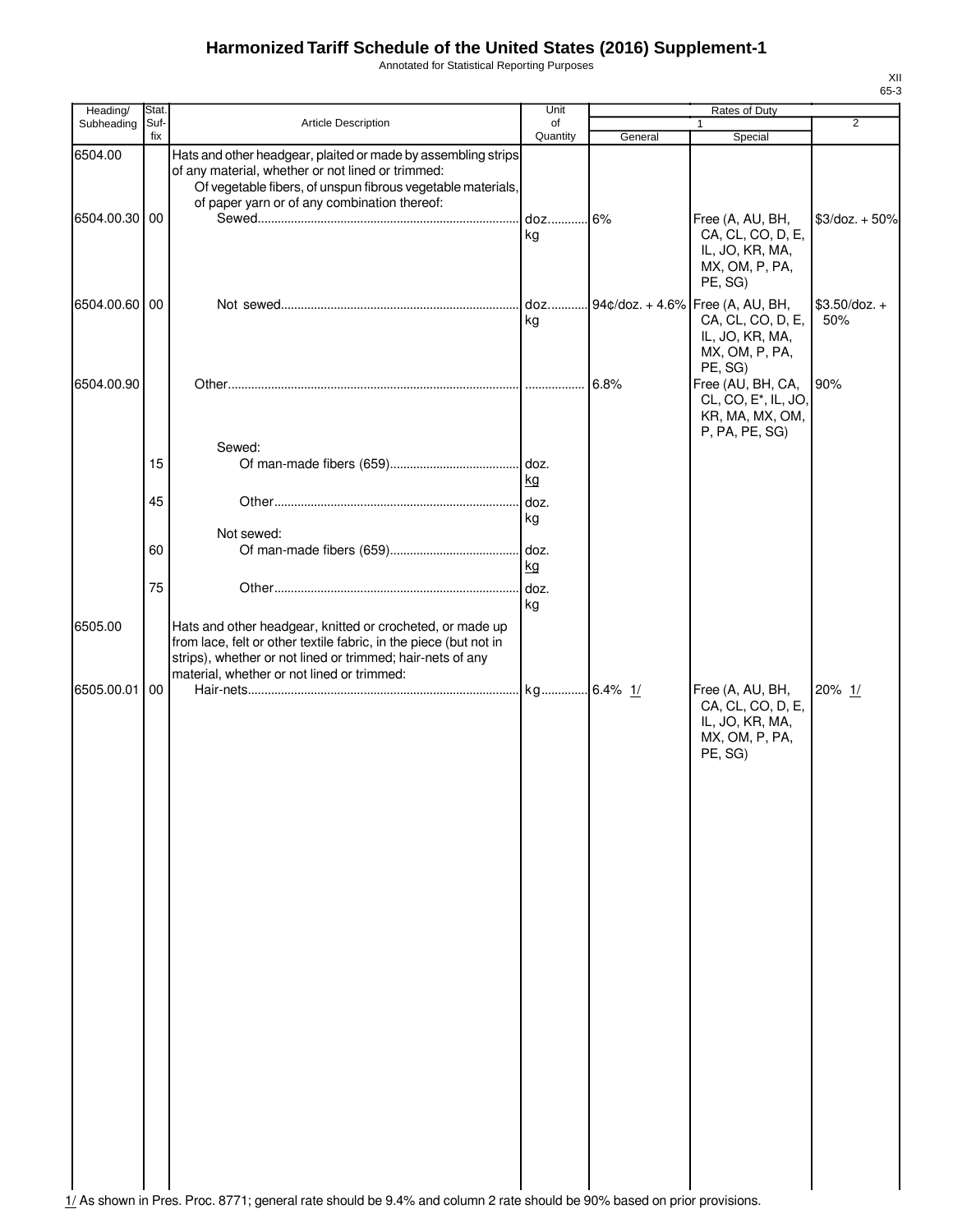Annotated for Statistical Reporting Purposes

| Heading/      | Stat.       |                                                                                                                                                                                                                                            | Unit           |         | Rates of Duty                                                                                           |                        |
|---------------|-------------|--------------------------------------------------------------------------------------------------------------------------------------------------------------------------------------------------------------------------------------------|----------------|---------|---------------------------------------------------------------------------------------------------------|------------------------|
| Subheading    | Suf-<br>fix | <b>Article Description</b>                                                                                                                                                                                                                 | of<br>Quantity | General | 1<br>Special                                                                                            | $\overline{2}$         |
| 6504.00       |             | Hats and other headgear, plaited or made by assembling strips<br>of any material, whether or not lined or trimmed:<br>Of vegetable fibers, of unspun fibrous vegetable materials,                                                          |                |         |                                                                                                         |                        |
| 6504.00.30 00 |             | of paper yarn or of any combination thereof:                                                                                                                                                                                               | kg             |         | Free (A, AU, BH,<br>CA, CL, CO, D, E,<br>IL, JO, KR, MA,<br>MX, OM, P, PA,<br>PE, SG)                   | $$3$ /doz. + 50%       |
| 6504.00.60 00 |             |                                                                                                                                                                                                                                            | doz<br>kg      |         | $94¢/doz. + 4.6%$ Free (A, AU, BH,<br>CA, CL, CO, D, E,<br>IL, JO, KR, MA,<br>MX, OM, P, PA,<br>PE, SG) | $$3.50$ /doz. +<br>50% |
| 6504.00.90    |             |                                                                                                                                                                                                                                            |                | 6.8%    | Free (AU, BH, CA,<br>CL, CO, E <sup>*</sup> , IL, JO,<br>KR, MA, MX, OM,<br>P, PA, PE, SG)              | 90%                    |
|               | 15          | Sewed:                                                                                                                                                                                                                                     | kg             |         |                                                                                                         |                        |
|               | 45          |                                                                                                                                                                                                                                            | doz.<br>kg     |         |                                                                                                         |                        |
|               | 60          | Not sewed:                                                                                                                                                                                                                                 | kg             |         |                                                                                                         |                        |
|               | 75          |                                                                                                                                                                                                                                            | kg             |         |                                                                                                         |                        |
| 6505.00       |             | Hats and other headgear, knitted or crocheted, or made up<br>from lace, felt or other textile fabric, in the piece (but not in<br>strips), whether or not lined or trimmed; hair-nets of any<br>material, whether or not lined or trimmed: |                |         |                                                                                                         |                        |
| 6505.00.01    | 00          |                                                                                                                                                                                                                                            |                |         | Free (A, AU, BH,<br>CA, CL, CO, D, E,<br>IL, JO, KR, MA,<br>MX, OM, P, PA,<br>PE, SG)                   | 20% 1/                 |
|               |             |                                                                                                                                                                                                                                            |                |         |                                                                                                         |                        |

1/ As shown in Pres. Proc. 8771; general rate should be 9.4% and column 2 rate should be 90% based on prior provisions.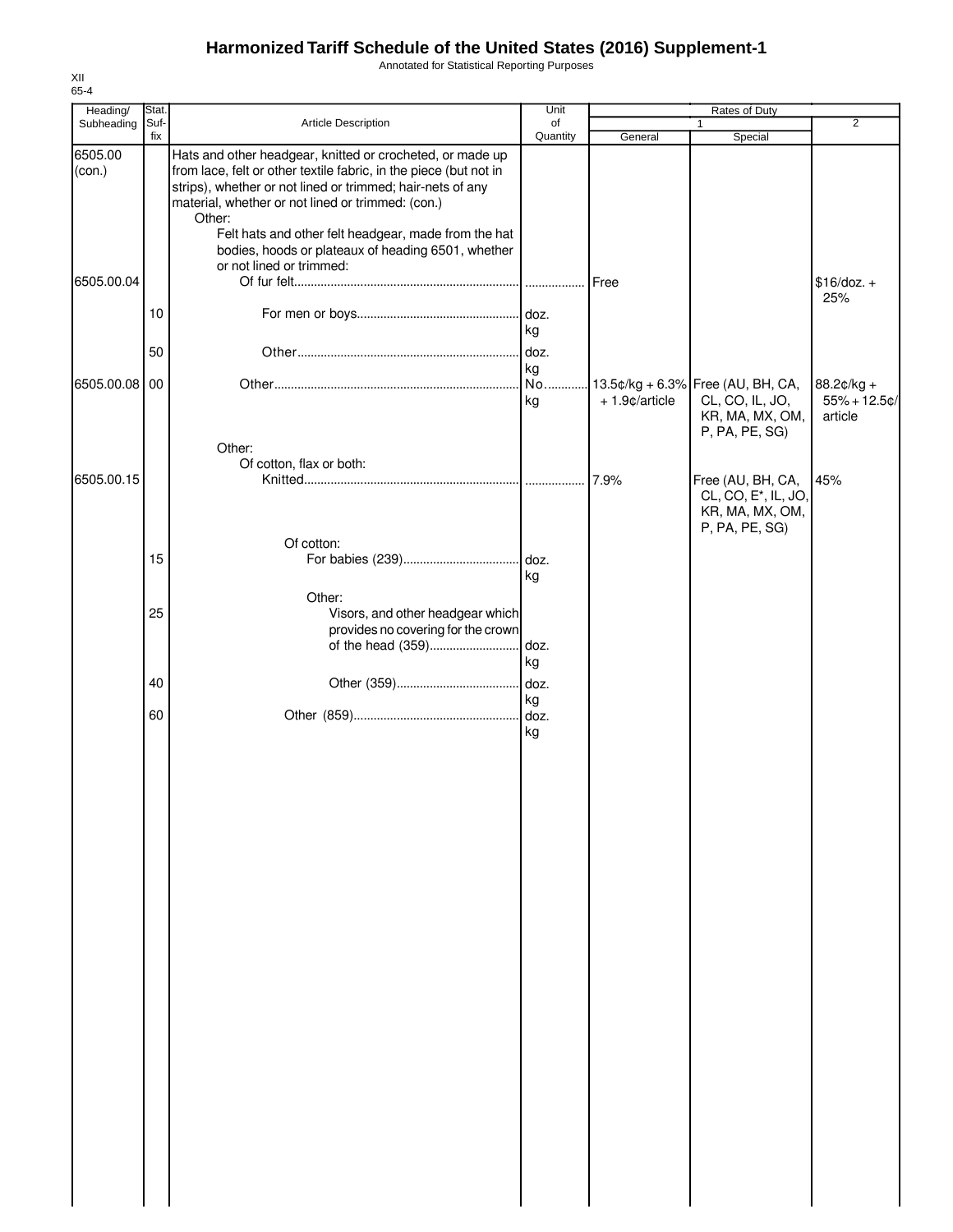Annotated for Statistical Reporting Purposes

| Heading/          | Stat.           |                                                                                                                                                                                                                                                                                                                                                                                                       | Unit           | Rates of Duty    |                                                                                            |                                            |
|-------------------|-----------------|-------------------------------------------------------------------------------------------------------------------------------------------------------------------------------------------------------------------------------------------------------------------------------------------------------------------------------------------------------------------------------------------------------|----------------|------------------|--------------------------------------------------------------------------------------------|--------------------------------------------|
| Subheading        | Suf-<br>fix     | Article Description                                                                                                                                                                                                                                                                                                                                                                                   | of<br>Quantity | General          | $\mathbf{1}$<br>Special                                                                    | 2                                          |
| 6505.00<br>(con.) |                 | Hats and other headgear, knitted or crocheted, or made up<br>from lace, felt or other textile fabric, in the piece (but not in<br>strips), whether or not lined or trimmed; hair-nets of any<br>material, whether or not lined or trimmed: (con.)<br>Other:<br>Felt hats and other felt headgear, made from the hat<br>bodies, hoods or plateaux of heading 6501, whether<br>or not lined or trimmed: |                |                  |                                                                                            |                                            |
| 6505.00.04        | 10 <sup>°</sup> |                                                                                                                                                                                                                                                                                                                                                                                                       |                | Free             |                                                                                            | $$16/doz. +$<br>25%                        |
|                   | 50              |                                                                                                                                                                                                                                                                                                                                                                                                       | kg<br>doz.     |                  |                                                                                            |                                            |
|                   |                 |                                                                                                                                                                                                                                                                                                                                                                                                       | kg             |                  |                                                                                            |                                            |
| 6505.00.08 00     |                 |                                                                                                                                                                                                                                                                                                                                                                                                       | No<br>kg       | $+1.9$ ¢/article | 13.5¢/kg + 6.3% Free (AU, BH, CA,<br>CL, CO, IL, JO,<br>KR, MA, MX, OM,<br>P, PA, PE, SG)  | $88.2¢/kg +$<br>$55% + 12.5$ ¢/<br>article |
|                   |                 | Other:<br>Of cotton, flax or both:                                                                                                                                                                                                                                                                                                                                                                    |                |                  |                                                                                            |                                            |
| 6505.00.15        |                 |                                                                                                                                                                                                                                                                                                                                                                                                       |                |                  | Free (AU, BH, CA,<br>CL, CO, E <sup>*</sup> , IL, JO,<br>KR, MA, MX, OM,<br>P, PA, PE, SG) | 45%                                        |
|                   |                 | Of cotton:                                                                                                                                                                                                                                                                                                                                                                                            |                |                  |                                                                                            |                                            |
|                   | 15              |                                                                                                                                                                                                                                                                                                                                                                                                       | kg             |                  |                                                                                            |                                            |
|                   |                 | Other:                                                                                                                                                                                                                                                                                                                                                                                                |                |                  |                                                                                            |                                            |
|                   | 25              | Visors, and other headgear which                                                                                                                                                                                                                                                                                                                                                                      |                |                  |                                                                                            |                                            |
|                   |                 | provides no covering for the crown                                                                                                                                                                                                                                                                                                                                                                    |                |                  |                                                                                            |                                            |
|                   |                 |                                                                                                                                                                                                                                                                                                                                                                                                       |                |                  |                                                                                            |                                            |
|                   |                 |                                                                                                                                                                                                                                                                                                                                                                                                       | kg             |                  |                                                                                            |                                            |
|                   | 40              |                                                                                                                                                                                                                                                                                                                                                                                                       |                |                  |                                                                                            |                                            |
|                   | 60              |                                                                                                                                                                                                                                                                                                                                                                                                       | kg             |                  |                                                                                            |                                            |
|                   |                 |                                                                                                                                                                                                                                                                                                                                                                                                       | kg             |                  |                                                                                            |                                            |
|                   |                 |                                                                                                                                                                                                                                                                                                                                                                                                       |                |                  |                                                                                            |                                            |
|                   |                 |                                                                                                                                                                                                                                                                                                                                                                                                       |                |                  |                                                                                            |                                            |
|                   |                 |                                                                                                                                                                                                                                                                                                                                                                                                       |                |                  |                                                                                            |                                            |
|                   |                 |                                                                                                                                                                                                                                                                                                                                                                                                       |                |                  |                                                                                            |                                            |
|                   |                 |                                                                                                                                                                                                                                                                                                                                                                                                       |                |                  |                                                                                            |                                            |
|                   |                 |                                                                                                                                                                                                                                                                                                                                                                                                       |                |                  |                                                                                            |                                            |
|                   |                 |                                                                                                                                                                                                                                                                                                                                                                                                       |                |                  |                                                                                            |                                            |
|                   |                 |                                                                                                                                                                                                                                                                                                                                                                                                       |                |                  |                                                                                            |                                            |
|                   |                 |                                                                                                                                                                                                                                                                                                                                                                                                       |                |                  |                                                                                            |                                            |
|                   |                 |                                                                                                                                                                                                                                                                                                                                                                                                       |                |                  |                                                                                            |                                            |
|                   |                 |                                                                                                                                                                                                                                                                                                                                                                                                       |                |                  |                                                                                            |                                            |
|                   |                 |                                                                                                                                                                                                                                                                                                                                                                                                       |                |                  |                                                                                            |                                            |
|                   |                 |                                                                                                                                                                                                                                                                                                                                                                                                       |                |                  |                                                                                            |                                            |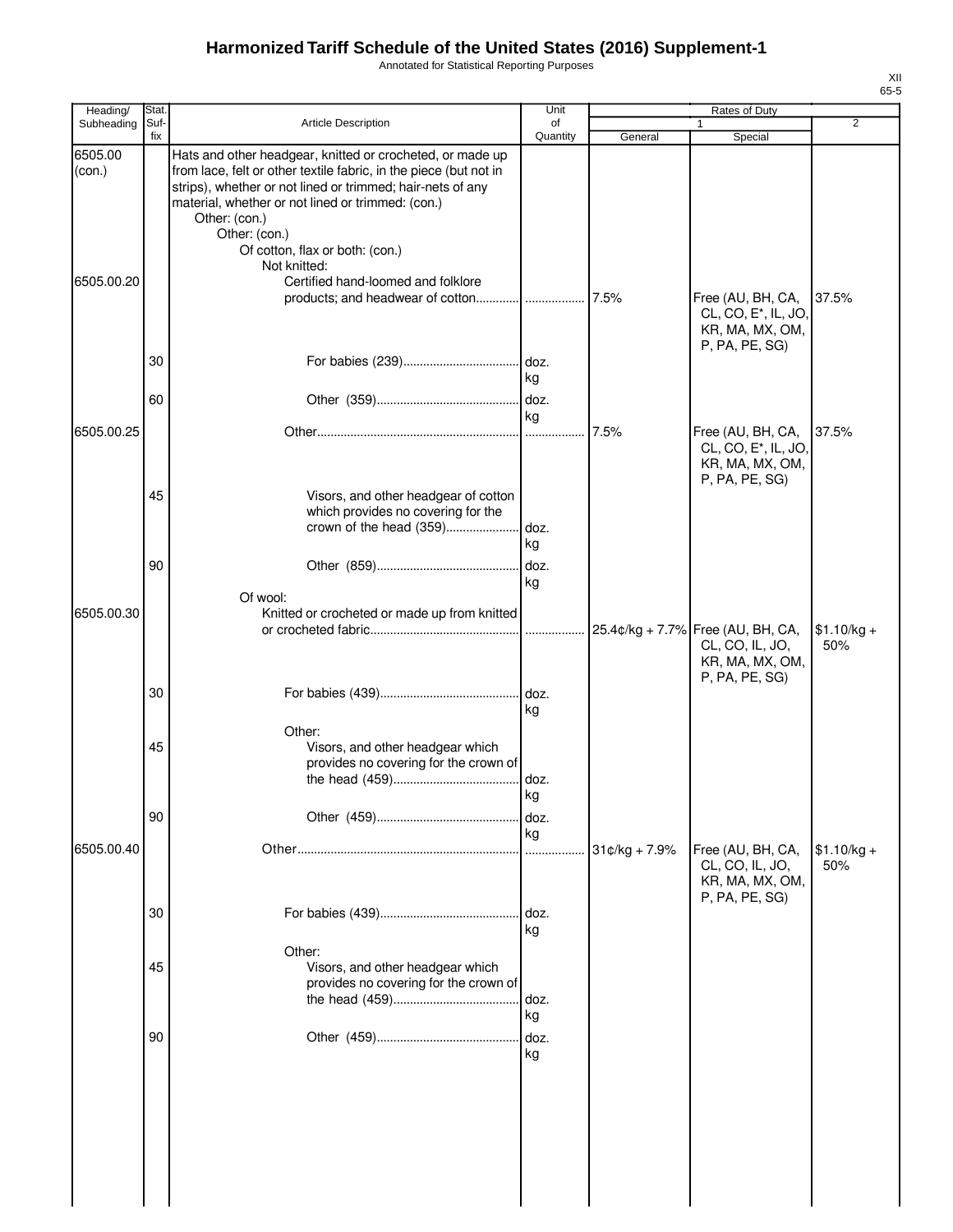Annotated for Statistical Reporting Purposes

| Heading/          | Stat.       |                                                                                                                                                                                                                                                                                                                                        | Unit           |               | Rates of Duty                                                                              |                     |
|-------------------|-------------|----------------------------------------------------------------------------------------------------------------------------------------------------------------------------------------------------------------------------------------------------------------------------------------------------------------------------------------|----------------|---------------|--------------------------------------------------------------------------------------------|---------------------|
| Subheading        | Suf-<br>fix | <b>Article Description</b>                                                                                                                                                                                                                                                                                                             | οf<br>Quantity | General       | 1<br>Special                                                                               | $\overline{2}$      |
| 6505.00<br>(con.) |             | Hats and other headgear, knitted or crocheted, or made up<br>from lace, felt or other textile fabric, in the piece (but not in<br>strips), whether or not lined or trimmed; hair-nets of any<br>material, whether or not lined or trimmed: (con.)<br>Other: (con.)<br>Other: (con.)<br>Of cotton, flax or both: (con.)<br>Not knitted: |                |               |                                                                                            |                     |
| 6505.00.20        |             | Certified hand-loomed and folklore                                                                                                                                                                                                                                                                                                     |                |               | Free (AU, BH, CA,<br>CL, CO, E*, IL, JO,<br>KR, MA, MX, OM,<br>P, PA, PE, SG)              | 37.5%               |
|                   | 30          |                                                                                                                                                                                                                                                                                                                                        | doz.<br>kg     |               |                                                                                            |                     |
|                   | 60          |                                                                                                                                                                                                                                                                                                                                        | kg             |               |                                                                                            |                     |
| 6505.00.25        |             |                                                                                                                                                                                                                                                                                                                                        | .              | 7.5%          | Free (AU, BH, CA,<br>CL, CO, E <sup>*</sup> , IL, JO,<br>KR, MA, MX, OM,<br>P, PA, PE, SG) | 37.5%               |
|                   | 45<br>90    | Visors, and other headgear of cotton<br>which provides no covering for the                                                                                                                                                                                                                                                             | kg<br>doz.     |               |                                                                                            |                     |
| 6505.00.30        |             | Of wool:<br>Knitted or crocheted or made up from knitted                                                                                                                                                                                                                                                                               | kg             |               | 25.4¢/kg + 7.7% Free (AU, BH, CA,<br>CL, CO, IL, JO,                                       | $$1.10/kg +$<br>50% |
|                   | 30          |                                                                                                                                                                                                                                                                                                                                        | doz.<br>kg     |               | KR, MA, MX, OM,<br>P, PA, PE, SG)                                                          |                     |
|                   | 45          | Other:<br>Visors, and other headgear which<br>provides no covering for the crown of                                                                                                                                                                                                                                                    | kg             |               |                                                                                            |                     |
|                   | 90          |                                                                                                                                                                                                                                                                                                                                        | doz.<br>kg     |               |                                                                                            |                     |
| 6505.00.40        |             |                                                                                                                                                                                                                                                                                                                                        | .              | 31¢/kg + 7.9% | Free (AU, BH, CA,<br>CL, CO, IL, JO,<br>KR, MA, MX, OM,<br>P, PA, PE, SG)                  | $$1.10/kg +$<br>50% |
|                   | 30          |                                                                                                                                                                                                                                                                                                                                        | doz.<br>kg     |               |                                                                                            |                     |
|                   | 45          | Other:<br>Visors, and other headgear which<br>provides no covering for the crown of                                                                                                                                                                                                                                                    | doz.<br>kg     |               |                                                                                            |                     |
|                   | 90          |                                                                                                                                                                                                                                                                                                                                        | doz.<br>kg     |               |                                                                                            |                     |
|                   |             |                                                                                                                                                                                                                                                                                                                                        |                |               |                                                                                            |                     |
|                   |             |                                                                                                                                                                                                                                                                                                                                        |                |               |                                                                                            |                     |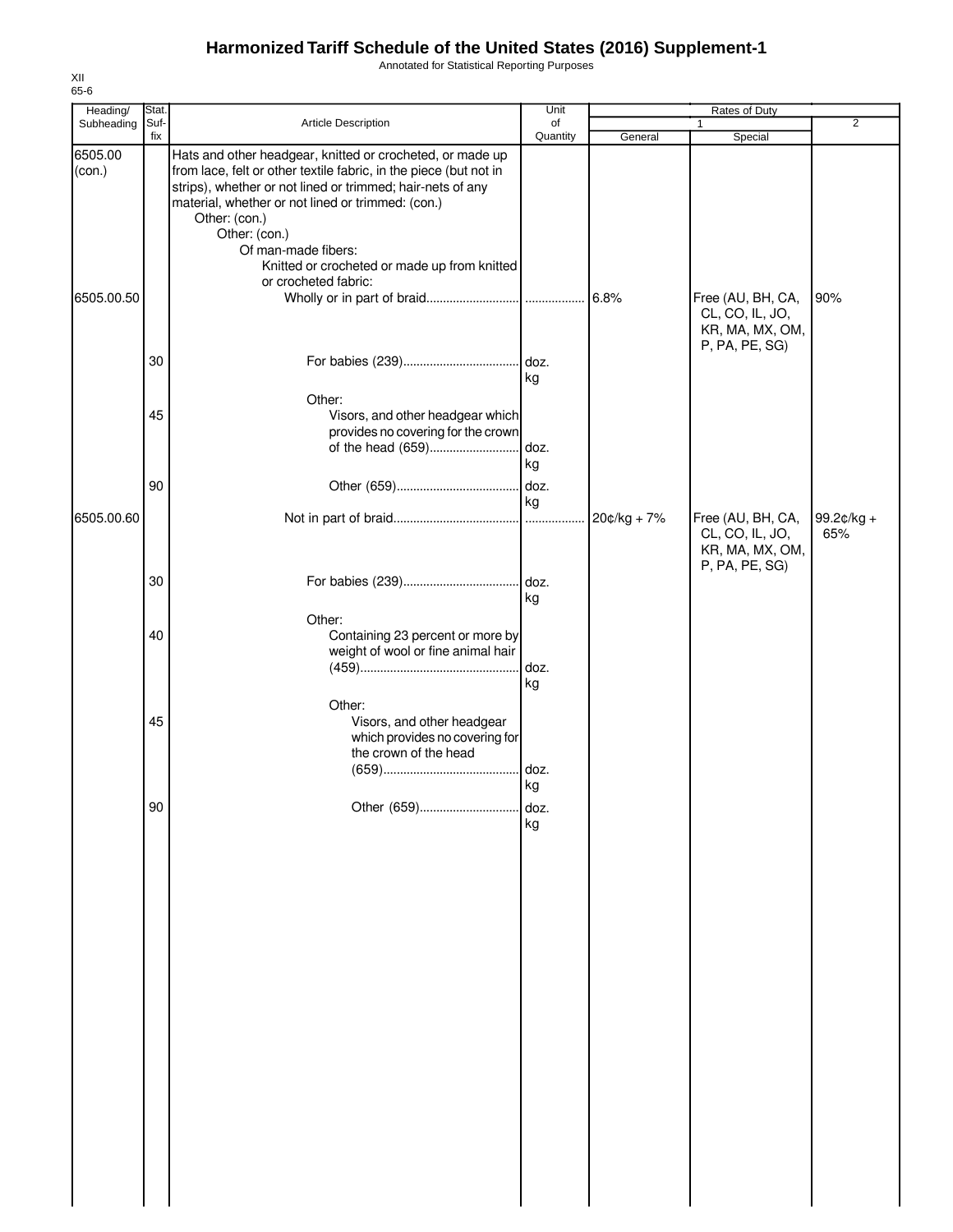Annotated for Statistical Reporting Purposes

| Heading/          | Stat.       |                                                                                                                                                                                                                                                                                     | Unit       |             | Rates of Duty                                                             |                   |
|-------------------|-------------|-------------------------------------------------------------------------------------------------------------------------------------------------------------------------------------------------------------------------------------------------------------------------------------|------------|-------------|---------------------------------------------------------------------------|-------------------|
| Subheading        | Suf-<br>fix | Article Description                                                                                                                                                                                                                                                                 | of         |             |                                                                           | $\overline{2}$    |
|                   |             |                                                                                                                                                                                                                                                                                     | Quantity   | General     | Special                                                                   |                   |
| 6505.00<br>(con.) |             | Hats and other headgear, knitted or crocheted, or made up<br>from lace, felt or other textile fabric, in the piece (but not in<br>strips), whether or not lined or trimmed; hair-nets of any<br>material, whether or not lined or trimmed: (con.)<br>Other: (con.)<br>Other: (con.) |            |             |                                                                           |                   |
|                   |             | Of man-made fibers:<br>Knitted or crocheted or made up from knitted<br>or crocheted fabric:                                                                                                                                                                                         |            |             |                                                                           |                   |
| 6505.00.50        |             |                                                                                                                                                                                                                                                                                     |            |             | Free (AU, BH, CA,<br>CL, CO, IL, JO,<br>KR, MA, MX, OM,<br>P, PA, PE, SG) | 90%               |
|                   | 30          |                                                                                                                                                                                                                                                                                     | kg         |             |                                                                           |                   |
|                   | 45          | Other:<br>Visors, and other headgear which<br>provides no covering for the crown<br>of the head (659)                                                                                                                                                                               | doz.<br>kg |             |                                                                           |                   |
|                   | 90          |                                                                                                                                                                                                                                                                                     | doz.<br>kg |             |                                                                           |                   |
| 6505.00.60        |             |                                                                                                                                                                                                                                                                                     |            | 20¢/kg + 7% | Free (AU, BH, CA,<br>CL, CO, IL, JO,<br>KR, MA, MX, OM,<br>P, PA, PE, SG) | 99.2¢/kg +<br>65% |
|                   | 30          |                                                                                                                                                                                                                                                                                     | kg         |             |                                                                           |                   |
|                   | 40          | Other:<br>Containing 23 percent or more by<br>weight of wool or fine animal hair                                                                                                                                                                                                    | doz.<br>kg |             |                                                                           |                   |
|                   | 45          | Other:<br>Visors, and other headgear<br>which provides no covering for<br>the crown of the head                                                                                                                                                                                     | . doz.     |             |                                                                           |                   |
|                   | 90          | Other (659)                                                                                                                                                                                                                                                                         | kg<br>doz. |             |                                                                           |                   |
|                   |             |                                                                                                                                                                                                                                                                                     | kg         |             |                                                                           |                   |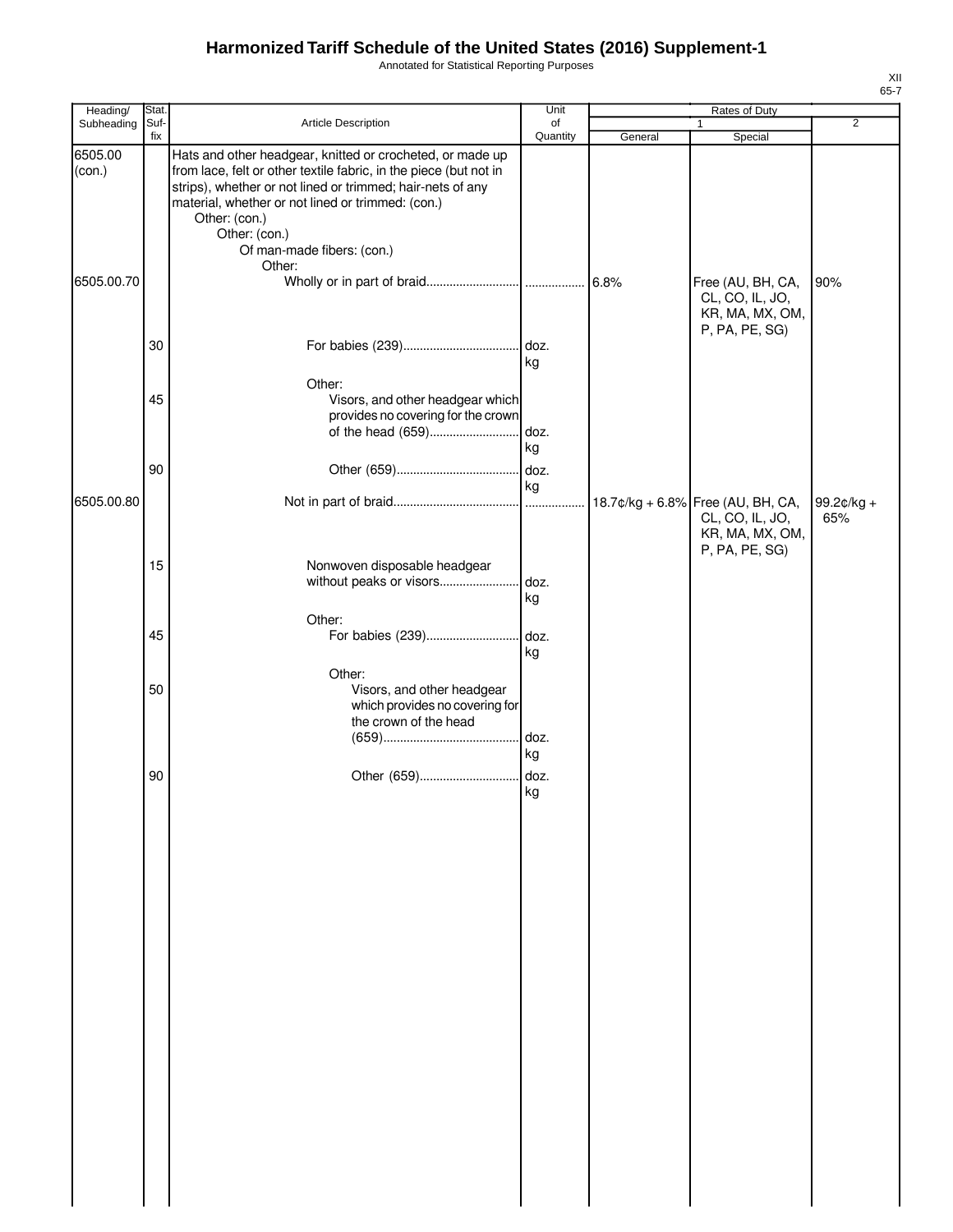Annotated for Statistical Reporting Purposes

| Heading/   | Stat. |                                                                                                                                 | Unit       | Rates of Duty |                                      |                |  |
|------------|-------|---------------------------------------------------------------------------------------------------------------------------------|------------|---------------|--------------------------------------|----------------|--|
| Subheading | Suf-  | Article Description                                                                                                             | of         |               | 1                                    | $\overline{2}$ |  |
| 6505.00    | fix   | Hats and other headgear, knitted or crocheted, or made up                                                                       | Quantity   | General       | Special                              |                |  |
| (con.)     |       | from lace, felt or other textile fabric, in the piece (but not in<br>strips), whether or not lined or trimmed; hair-nets of any |            |               |                                      |                |  |
|            |       | material, whether or not lined or trimmed: (con.)<br>Other: (con.)                                                              |            |               |                                      |                |  |
|            |       | Other: (con.)<br>Of man-made fibers: (con.)                                                                                     |            |               |                                      |                |  |
|            |       | Other:                                                                                                                          |            |               |                                      |                |  |
| 6505.00.70 |       |                                                                                                                                 |            |               | Free (AU, BH, CA,<br>CL, CO, IL, JO, | 90%            |  |
|            |       |                                                                                                                                 |            |               | KR, MA, MX, OM,                      |                |  |
|            | 30    |                                                                                                                                 |            |               | P, PA, PE, SG)                       |                |  |
|            |       |                                                                                                                                 | kg         |               |                                      |                |  |
|            | 45    | Other:<br>Visors, and other headgear which                                                                                      |            |               |                                      |                |  |
|            |       | provides no covering for the crown                                                                                              |            |               |                                      |                |  |
|            |       | of the head (659)                                                                                                               | doz.<br>kg |               |                                      |                |  |
|            | 90    |                                                                                                                                 |            |               |                                      |                |  |
| 6505.00.80 |       |                                                                                                                                 | kg         |               | 18.7¢/kg + 6.8% Free (AU, BH, CA,    | 99.2¢/kg +     |  |
|            |       |                                                                                                                                 |            |               | CL, CO, IL, JO,                      | 65%            |  |
|            |       |                                                                                                                                 |            |               | KR, MA, MX, OM,<br>P, PA, PE, SG)    |                |  |
|            | 15    | Nonwoven disposable headgear                                                                                                    |            |               |                                      |                |  |
|            |       | without peaks or visors                                                                                                         | doz.<br>kg |               |                                      |                |  |
|            |       | Other:                                                                                                                          |            |               |                                      |                |  |
|            | 45    | For babies (239)                                                                                                                | doz.<br>kg |               |                                      |                |  |
|            |       | Other:                                                                                                                          |            |               |                                      |                |  |
|            | 50    | Visors, and other headgear<br>which provides no covering for                                                                    |            |               |                                      |                |  |
|            |       | the crown of the head                                                                                                           |            |               |                                      |                |  |
|            |       |                                                                                                                                 | kg         |               |                                      |                |  |
|            | 90    | Other (659)                                                                                                                     | doz.       |               |                                      |                |  |
|            |       |                                                                                                                                 | kg         |               |                                      |                |  |
|            |       |                                                                                                                                 |            |               |                                      |                |  |
|            |       |                                                                                                                                 |            |               |                                      |                |  |
|            |       |                                                                                                                                 |            |               |                                      |                |  |
|            |       |                                                                                                                                 |            |               |                                      |                |  |
|            |       |                                                                                                                                 |            |               |                                      |                |  |
|            |       |                                                                                                                                 |            |               |                                      |                |  |
|            |       |                                                                                                                                 |            |               |                                      |                |  |
|            |       |                                                                                                                                 |            |               |                                      |                |  |
|            |       |                                                                                                                                 |            |               |                                      |                |  |
|            |       |                                                                                                                                 |            |               |                                      |                |  |
|            |       |                                                                                                                                 |            |               |                                      |                |  |
|            |       |                                                                                                                                 |            |               |                                      |                |  |
|            |       |                                                                                                                                 |            |               |                                      |                |  |
|            |       |                                                                                                                                 |            |               |                                      |                |  |
|            |       |                                                                                                                                 |            |               |                                      |                |  |
|            |       |                                                                                                                                 |            |               |                                      |                |  |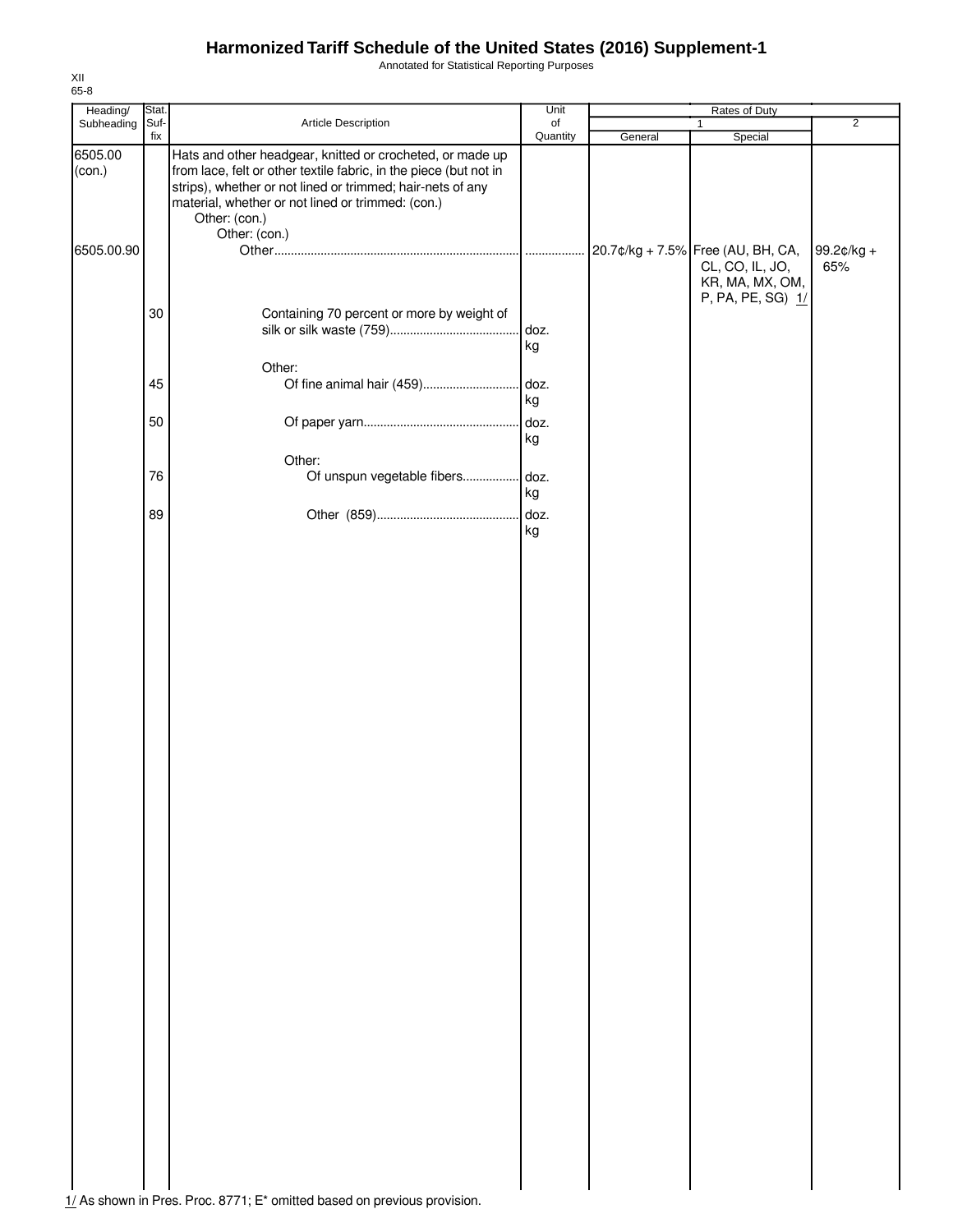Annotated for Statistical Reporting Purposes

| Heading/          | Stat. |                                                                                                                                                                                                                                                                    | Unit       | Rates of Duty |                                                                         |                   |  |
|-------------------|-------|--------------------------------------------------------------------------------------------------------------------------------------------------------------------------------------------------------------------------------------------------------------------|------------|---------------|-------------------------------------------------------------------------|-------------------|--|
| Subheading        | Suf-  | Article Description                                                                                                                                                                                                                                                | of         |               | $\mathbf{1}$                                                            | $\overline{2}$    |  |
| 6505.00<br>(con.) | fix   | Hats and other headgear, knitted or crocheted, or made up<br>from lace, felt or other textile fabric, in the piece (but not in<br>strips), whether or not lined or trimmed; hair-nets of any<br>material, whether or not lined or trimmed: (con.)<br>Other: (con.) | Quantity   | General       | Special                                                                 |                   |  |
| 6505.00.90        |       | Other: (con.)                                                                                                                                                                                                                                                      |            |               | 20.7¢/kg + 7.5% Free (AU, BH, CA,<br>CL, CO, IL, JO,<br>KR, MA, MX, OM, | 99.2¢/kg +<br>65% |  |
|                   | 30    | Containing 70 percent or more by weight of                                                                                                                                                                                                                         | doz.<br>kg |               | P, PA, PE, SG) 1/                                                       |                   |  |
|                   | 45    | Other:                                                                                                                                                                                                                                                             | kg         |               |                                                                         |                   |  |
|                   | 50    | Other:                                                                                                                                                                                                                                                             | doz.<br>kg |               |                                                                         |                   |  |
|                   | 76    | Of unspun vegetable fibers                                                                                                                                                                                                                                         | doz.<br>kg |               |                                                                         |                   |  |
|                   | 89    |                                                                                                                                                                                                                                                                    | kg         |               |                                                                         |                   |  |
|                   |       |                                                                                                                                                                                                                                                                    |            |               |                                                                         |                   |  |
|                   |       |                                                                                                                                                                                                                                                                    |            |               |                                                                         |                   |  |